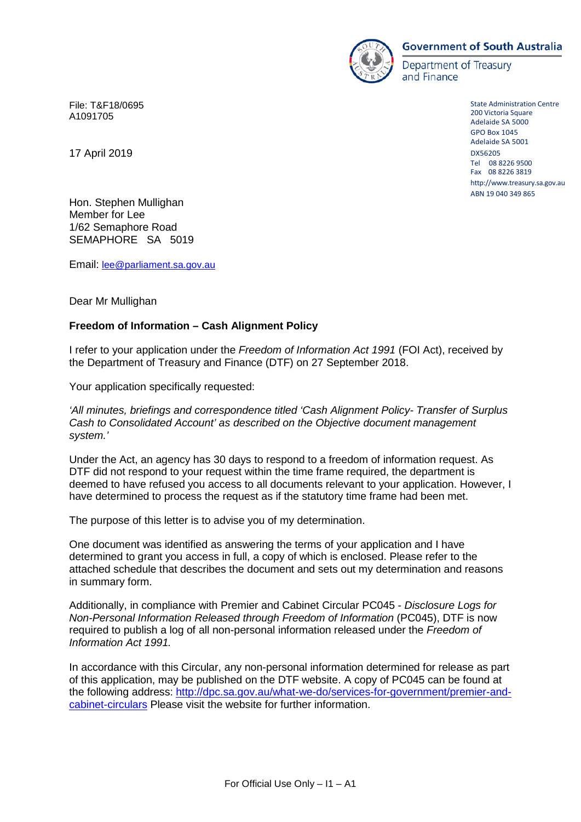

#### **Government of South Australia**

Department of Treasury and Finance

> State Administration Centre 200 Victoria Square Adelaide SA 5000 GPO Box 1045 Adelaide SA 5001 DX56205 Tel 08 8226 9500 Fax 08 8226 3819 [http://www.treasury.sa.gov.au](http://www.treasury.sa.gov.au/) ABN 19 040 349 865

File: T&F18/0695 A1091705

17 April 2019

Hon. Stephen Mullighan Member for Lee 1/62 Semaphore Road SEMAPHORE SA 5019

Email: [lee@parliament.sa.gov.au](mailto:lee@parliament.sa.gov.au)

Dear Mr Mullighan

### **Freedom of Information – Cash Alignment Policy**

I refer to your application under the *Freedom of Information Act 1991* (FOI Act), received by the Department of Treasury and Finance (DTF) on 27 September 2018.

Your application specifically requested:

*'All minutes, briefings and correspondence titled 'Cash Alignment Policy- Transfer of Surplus Cash to Consolidated Account' as described on the Objective document management system.'*

Under the Act, an agency has 30 days to respond to a freedom of information request. As DTF did not respond to your request within the time frame required, the department is deemed to have refused you access to all documents relevant to your application. However, I have determined to process the request as if the statutory time frame had been met.

The purpose of this letter is to advise you of my determination.

One document was identified as answering the terms of your application and I have determined to grant you access in full, a copy of which is enclosed. Please refer to the attached schedule that describes the document and sets out my determination and reasons in summary form.

Additionally, in compliance with Premier and Cabinet Circular PC045 - *Disclosure Logs for Non-Personal Information Released through Freedom of Information* (PC045), DTF is now required to publish a log of all non-personal information released under the *Freedom of Information Act 1991.*

In accordance with this Circular, any non-personal information determined for release as part of this application, may be published on the DTF website. A copy of PC045 can be found at the following address: [http://dpc.sa.gov.au/what-we-do/services-for-government/premier-and](http://dpc.sa.gov.au/what-we-do/services-for-government/premier-and-cabinet-circulars)[cabinet-circulars](http://dpc.sa.gov.au/what-we-do/services-for-government/premier-and-cabinet-circulars) Please visit the website for further information.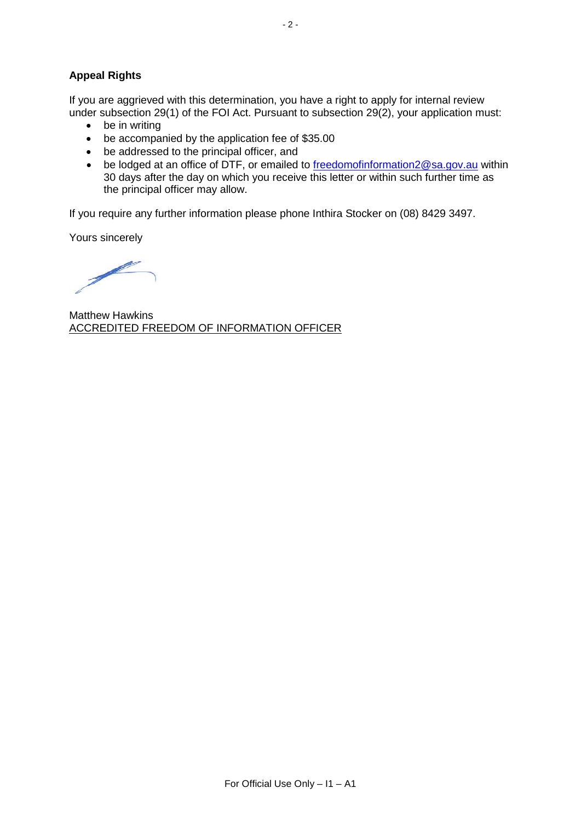# **Appeal Rights**

If you are aggrieved with this determination, you have a right to apply for internal review under subsection 29(1) of the FOI Act. Pursuant to subsection 29(2), your application must:

- be in writing
- be accompanied by the application fee of \$35.00
- be addressed to the principal officer, and
- be lodged at an office of DTF, or emailed to [freedomofinformation2@sa.gov.au](mailto:freedomofinformation2@sa.gov.au) within 30 days after the day on which you receive this letter or within such further time as the principal officer may allow.

If you require any further information please phone Inthira Stocker on (08) 8429 3497.

Yours sincerely

Þ

Matthew Hawkins ACCREDITED FREEDOM OF INFORMATION OFFICER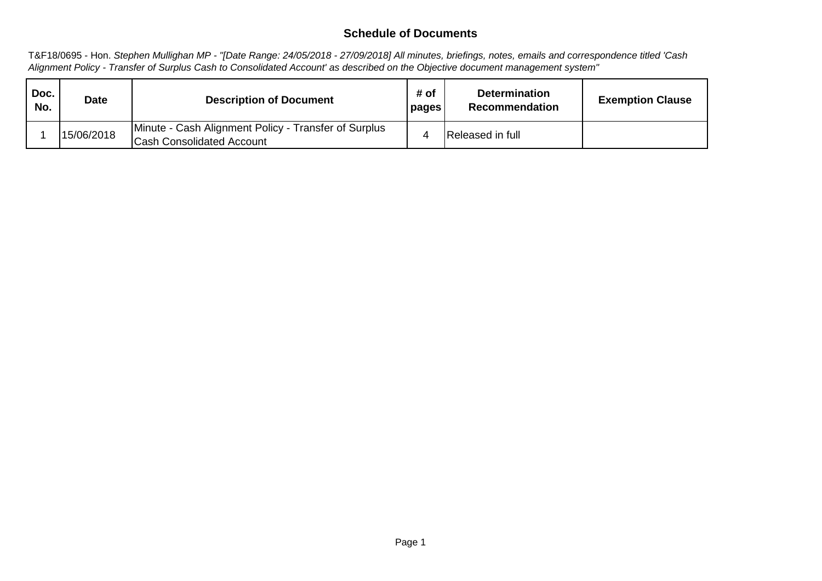# **Schedule of Documents**

T&F18/0695 - Hon. *Stephen Mullighan MP - "[Date Range: 24/05/2018 - 27/09/2018] All minutes, briefings, notes, emails and correspondence titled 'Cash Alignment Policy - Transfer of Surplus Cash to Consolidated Account' as described on the Objective document management system"*

| Doc.<br>No. | Date       | <b>Description of Document</b>                                                           | # of<br>pages | <b>Determination</b><br>Recommendation | <b>Exemption Clause</b> |
|-------------|------------|------------------------------------------------------------------------------------------|---------------|----------------------------------------|-------------------------|
|             | 15/06/2018 | Minute - Cash Alignment Policy - Transfer of Surplus<br><b>Cash Consolidated Account</b> |               | <b>Released in full</b>                |                         |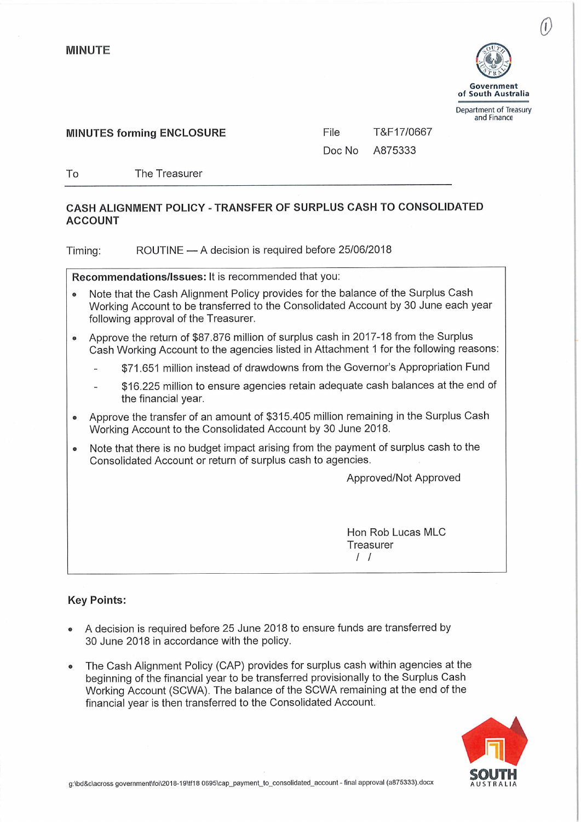To



**MINUTES forming ENCLOSURE** 

File T&F17/0667

Doc No A875333

The Treasurer

## CASH ALIGNMENT POLICY - TRANSFER OF SURPLUS CASH TO CONSOLIDATED **ACCOUNT**

ROUTINE - A decision is required before 25/06/2018 Timing:

Recommendations/Issues: It is recommended that you:

- Note that the Cash Alignment Policy provides for the balance of the Surplus Cash  $\bullet$ Working Account to be transferred to the Consolidated Account by 30 June each year following approval of the Treasurer.
- Approve the return of \$87,876 million of surplus cash in 2017-18 from the Surplus  $\bullet$ Cash Working Account to the agencies listed in Attachment 1 for the following reasons:
	- \$71.651 million instead of drawdowns from the Governor's Appropriation Fund
	- \$16,225 million to ensure agencies retain adequate cash balances at the end of the financial year.
- Approve the transfer of an amount of \$315.405 million remaining in the Surplus Cash  $\bullet$ Working Account to the Consolidated Account by 30 June 2018.
- Note that there is no budget impact arising from the payment of surplus cash to the Consolidated Account or return of surplus cash to agencies.

Approved/Not Approved

Hon Rob Lucas MLC Treasurer  $\frac{1}{2}$ 

### **Key Points:**

- A decision is required before 25 June 2018 to ensure funds are transferred by 30 June 2018 in accordance with the policy.
- The Cash Alignment Policy (CAP) provides for surplus cash within agencies at the beginning of the financial year to be transferred provisionally to the Surplus Cash Working Account (SCWA). The balance of the SCWA remaining at the end of the financial vear is then transferred to the Consolidated Account.

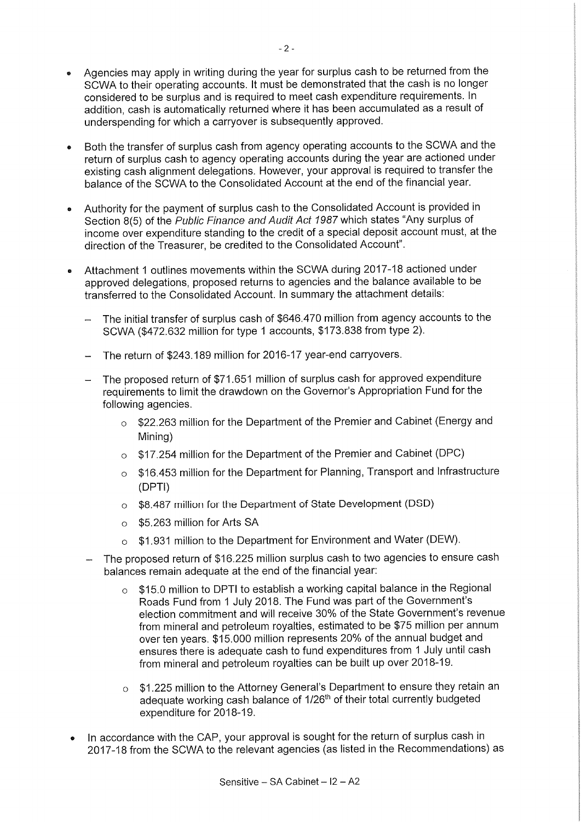- Agencies may apply in writing during the year for surplus cash to be returned from the  $\ddot{\phantom{a}}$ SCWA to their operating accounts. It must be demonstrated that the cash is no longer considered to be surplus and is required to meet cash expenditure requirements. In addition, cash is automatically returned where it has been accumulated as a result of underspending for which a carryover is subsequently approved.
- Both the transfer of surplus cash from agency operating accounts to the SCWA and the return of surplus cash to agency operating accounts during the year are actioned under existing cash alignment delegations. However, your approval is required to transfer the balance of the SCWA to the Consolidated Account at the end of the financial year.
- Authority for the payment of surplus cash to the Consolidated Account is provided in Section 8(5) of the Public Finance and Audit Act 1987 which states "Any surplus of income over expenditure standing to the credit of a special deposit account must, at the direction of the Treasurer, be credited to the Consolidated Account".
- Attachment 1 outlines movements within the SCWA during 2017-18 actioned under  $\bullet$ approved delegations, proposed returns to agencies and the balance available to be transferred to the Consolidated Account. In summary the attachment details:
	- The initial transfer of surplus cash of \$646,470 million from agency accounts to the SCWA (\$472.632 million for type 1 accounts, \$173.838 from type 2).
	- The return of \$243.189 million for 2016-17 year-end carryovers.
	- The proposed return of \$71.651 million of surplus cash for approved expenditure requirements to limit the drawdown on the Governor's Appropriation Fund for the following agencies.
		- o \$22.263 million for the Department of the Premier and Cabinet (Energy and Mining)
		- o \$17.254 million for the Department of the Premier and Cabinet (DPC)
		- \$16.453 million for the Department for Planning, Transport and Infrastructure  $\Omega$ (DPTI)
		- \$8.487 million for the Department of State Development (DSD)  $\Omega$
		- \$5.263 million for Arts SA  $\Omega$
		- \$1.931 million to the Department for Environment and Water (DEW).  $\Omega$
	- The proposed return of \$16.225 million surplus cash to two agencies to ensure cash balances remain adequate at the end of the financial year:
		- \$15.0 million to DPTI to establish a working capital balance in the Regional  $\circ$ Roads Fund from 1 July 2018. The Fund was part of the Government's election commitment and will receive 30% of the State Government's revenue from mineral and petroleum rovalties, estimated to be \$75 million per annum over ten years. \$15,000 million represents 20% of the annual budget and ensures there is adequate cash to fund expenditures from 1 July until cash from mineral and petroleum royalties can be built up over 2018-19.
		- \$1.225 million to the Attorney General's Department to ensure they retain an  $\circ$ adequate working cash balance of 1/26<sup>th</sup> of their total currently budgeted expenditure for 2018-19.
- In accordance with the CAP, your approval is sought for the return of surplus cash in 2017-18 from the SCWA to the relevant agencies (as listed in the Recommendations) as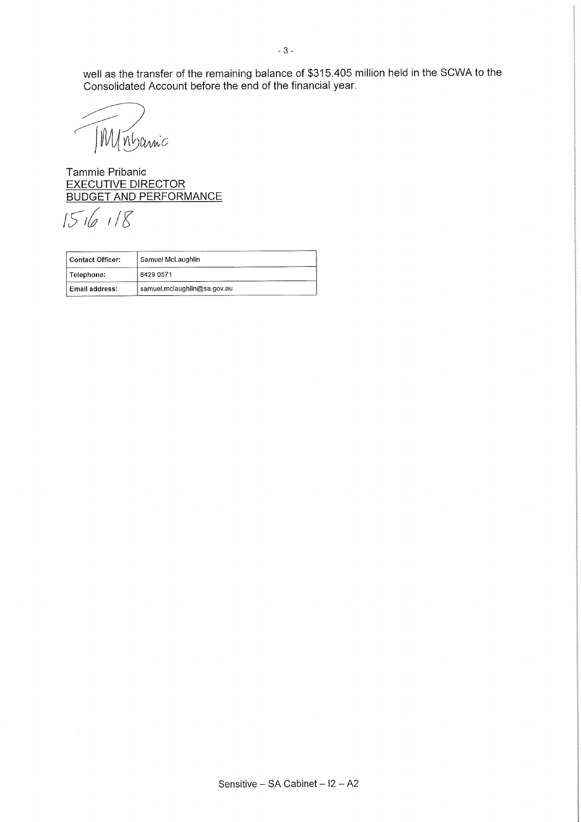well as the transfer of the remaining balance of \$315.405 million held in the SCWA to the Consolidated Account before the end of the financial year.

Winbannic

Tammie Pribanic **EXECUTIVE DIRECTOR BUDGET AND PERFORMANCE** 

 $151618$ 

 $\hat{\mathcal{A}}$ 

| Contact Officer:      | Samuel McLaughlin           |  |  |
|-----------------------|-----------------------------|--|--|
| Telephone:            | 8429 0571                   |  |  |
| <b>Email address:</b> | samuel.mclaughlin@sa.gov.au |  |  |